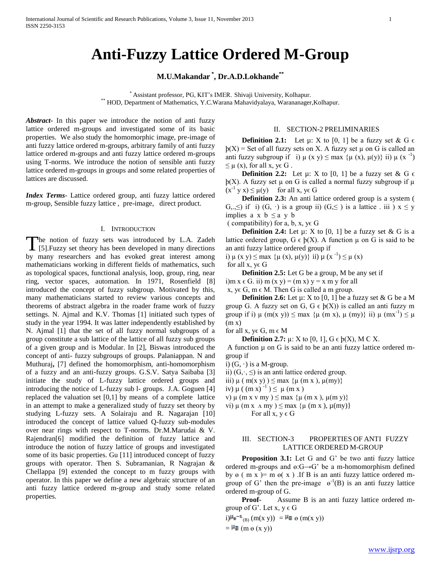# **Anti-Fuzzy Lattice Ordered M-Group**

## **M.U.Makandar \* , Dr.A.D.Lokhande\*\***

\* Assistant professor, PG, KIT's IMER. Shivaji University, Kolhapur. \*\* HOD, Department of Mathematics, Y.C.Warana Mahavidyalaya, Warananager, Kolhapur.

*Abstract***-** In this paper we introduce the notion of anti fuzzy lattice ordered m-groups and investigated some of its basic properties. We also study the homomorphic image, pre-image of anti fuzzy lattice ordered m-groups, arbitrary family of anti fuzzy lattice ordered m-groups and anti fuzzy lattice ordered m-groups using T-norms. We introduce the notion of sensible anti fuzzy lattice ordered m-groups in groups and some related properties of lattices are discussed.

*Index Terms*- Lattice ordered group, anti fuzzy lattice ordered m-group, Sensible fuzzy lattice , pre-image, direct product.

#### I. INTRODUCTION

The notion of fuzzy sets was introduced by L.A. Zadeh The notion of fuzzy sets was introduced by L.A. Zadeh [5]. Fuzzy set theory has been developed in many directions by many researchers and has evoked great interest among mathematicians working in different fields of mathematics, such as topological spaces, functional analysis, loop, group, ring, near ring, vector spaces, automation. In 1971, Rosenfield [8] introduced the concept of fuzzy subgroup. Motivated by this, many mathematicians started to review various concepts and theorems of abstract algebra in the roader frame work of fuzzy settings. N. Ajmal and K.V. Thomas [1] initiated such types of study in the year 1994. It was latter independently established by N. Ajmal [1] that the set of all fuzzy normal subgroups of a group constitute a sub lattice of the lattice of all fuzzy sub groups of a given group and is Modular. In [2], Biswas introduced the concept of anti- fuzzy subgroups of groups. Palaniappan. N and Muthuraj**,** [7] defined the homomorphism, anti-homomorphism of a fuzzy and an anti-fuzzy groups. G.S.V. Satya Saibaba [3] initiate the study of L-fuzzy lattice ordered groups and introducing the notice of L-fuzzy sub l- groups. J.A. Goguen [4] replaced the valuation set [0,1] by means of a complete lattice in an attempt to make a generalized study of fuzzy set theory by studying L-fuzzy sets. A Solairaju and R. Nagarajan [10] introduced the concept of lattice valued Q-fuzzy sub-modules over near rings with respect to T-norms. Dr.M.Marudai & V. Rajendran[6] modified the definition of fuzzy lattice and introduce the notion of fuzzy lattice of groups and investigated some of its basic properties. Gu [11] introduced concept of fuzzy groups with operator. Then S. Subramanian, R Nagrajan & Chellappa [9] extended the concept to m fuzzy groups with operator. In this paper we define a new algebraic structure of an anti fuzzy lattice ordered m-group and study some related properties.

### II. SECTION-2 PRELIMINARIES

**Definition 2.1:** Let  $\mu$ : X to [0, 1] be a fuzzy set & G  $\epsilon$  $p(X)$  = Set of all fuzzy sets on X. A fuzzy set  $\mu$  on G is called an anti fuzzy subgroup if i)  $\mu$  (x y)  $\leq$  max { $\mu$  (x),  $\mu$ (y)} ii)  $\mu$  (x<sup>-1</sup>)  $\leq \mu(x)$ , for all  $x, y \in G$ .

**Definition 2.2:** Let  $\mu$ : X to [0, 1] be a fuzzy set & G  $\epsilon$  $p(X)$ . A fuzzy set  $\mu$  on G is called a normal fuzzy subgroup if  $\mu$  $(x^{-1} y x) \le \mu(y)$  for all x, ye G

**Definition 2.3:** An anti lattice ordered group is a system ( G,.,  $\leq$ ) if i) (G, ·) is a group ii) (G,  $\leq$ ) is a lattice . iii)  $x \leq y$ implies a x  $b \le a$  y b

( compatibility) for a, b, x,  $y \in G$ 

**Definition 2.4:** Let  $\mu$ : X to [0, 1] be a fuzzy set & G is a lattice ordered group,  $G \in \mathfrak{h}(X)$ . A function  $\mu$  on G is said to be an anti fuzzy lattice ordered group if

i)  $\mu$  (x y)  $\leq$  max { $\mu$  (x),  $\mu$ (y)} ii)  $\mu$  (x<sup>-1</sup>)  $\leq \mu$  (x)

for all  $x, y \in G$ 

 **Definition 2.5:** Let G be a group, M be any set if i)m  $x \in G$ . ii) m  $(x, y) = (m x) y = x m y$  for all

x, y $\in$  G, m  $\in$  M. Then G is called a m group.

**Definition 2.6:** Let  $\mu$ : X to [0, 1] be a fuzzy set & G be a M group G. A fuzzy set on G,  $G \in b(X)$  is called an anti fuzzy m group if i)  $\mu$  (m(x y))  $\leq$  max { $\mu$  (m x),  $\mu$  (my)} ii)  $\mu$  (mx<sup>-1</sup>)  $\leq \mu$  $(m x)$ 

for all x, ye G, m  $\epsilon$  M

**Definition 2.7:**  $\mu$ : X to [0, 1], G  $\epsilon$   $\phi$ (X), M C X.

A function  $\mu$  on G is said to be an anti-fuzzy lattice ordered mgroup if

i)  $(G, \cdot)$  is a M-group.

ii)  $(G, \cdot, \leq)$  is an anti lattice ordered group.

- iii)  $\mu$  ( m(x y) )  $\leq$  max { $\mu$  (m x ),  $\mu$ (my)}
- iv)  $\mu$  ((m x)<sup>-1</sup>)  $\leq \mu$  (m x)
- v)  $\mu$  (m x v my)  $\leq$  max  $\{\mu$  (m x),  $\mu$ (m y)}

vi)  $\mu$  (m x  $\land$  my)  $\leq$  max  $\{\mu$  (m x),  $\mu$ (my)}

For all  $x, y \in G$ 

## III. SECTION-3 PROPERTIES OF ANTI FUZZY LATTICE ORDERED M-GROUP

 **Proposition 3.1:** Let G and G' be two anti fuzzy lattice ordered m-groups and  $e:G \rightarrow G'$  be a m-homomorphism defined by  $\Theta$  ( m x )= m  $\Theta$ (x). If B is an anti-fuzzy lattice ordered mgroup of G' then the pre-image  $\theta^{-1}(B)$  is an anti-fuzzy lattice ordered m-group of G.

**Proof-** Assume B is an antigroup of G'. Let  $x, y \in G$ 

i) $\mu_{\text{B}}^{-1}$ <sub>(B)</sub> (m(x y)) =  $\mu_{\text{B}}$   $\Theta$  (m(x y))

 $=$   $\frac{\mu_B}{\mu_B}$  (m  $\theta$  (x y))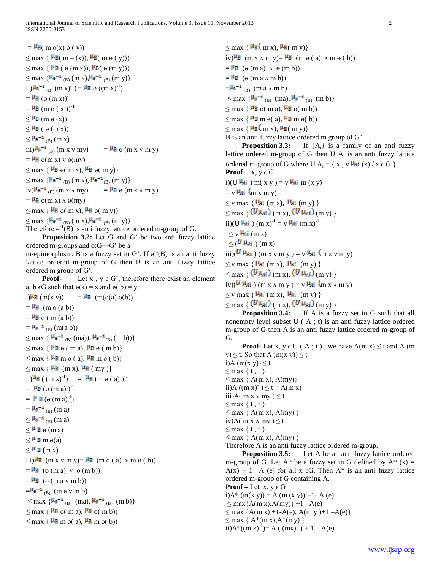$=\frac{\mu_B}{\mu_B}$  (m  $\varphi(x)$   $\varphi(y)$ )  $\leq$  max  $\{H_B(m \theta (x)), H_B(m \theta (y))\}$  $\leq$  max {  $\frac{\mu_B}{\mu_B}$  (  $\Theta$  (m x)),  $\frac{\mu_B}{\mu_B}$  (  $\Theta$  (m y))}  $\leq$  max  $\{ \mu_{\mathbf{e}}^{-1} \right|_{\text{(B)}} (\text{m x}), \mu_{\mathbf{e}}^{-1} \right|_{\text{(B)}} (\text{m y}) \}$ ii) $\mu_{\mathbf{e}}^{-1}$  (B)  $(m x)^{-1}$ ) =  $\mu_{\mathbf{B}}$   $\Theta$   $((m x)^{-1})$  $=\frac{\mu_B}{\sigma}$  ( $\theta$  (m x))<sup>-1</sup>  $=\frac{\mu_B}{\mu_B}$  (m  $\varphi$  (x ))<sup>-1</sup>  $\leq$  **µB** (m  $\theta$  (x))  $\leq$  **µB** ( $\theta$  (m x))  $\leq$   $\frac{\mu_{e} - i}{\mu_{B}}$  (m x)  $iii)$  $\mu_{\theta}$ <sup>-1</sup> (B) (m x v my) =  $\mu_{\theta}$  (m x v m y)  $=$   $\frac{\mu_B}{\sigma}$   $\Theta$ (m x) v  $\Theta$ (m v)  $\leq$  max {  $\mu$ B  $\Theta$ ( m x),  $\mu$ B  $\Theta$ ( m y))  $\leq$  max  $\{ \frac{\mu_{\theta} - i}{(B)} (m x), \frac{\mu_{\theta} - i}{(B)} (m y) \}$  $iv)^{\mu_{\theta} - 1}$  (B)  $(m x \wedge my)$  =  $^{\mu_{\theta}}$  e  $(m x \wedge m y)$  $=$   $\frac{\mu_B}{\sigma} \Theta(m x) \Delta \Theta(m y)$  $\leq$  max  $\{ \mu_B \Theta(m x), \mu_B \Theta(m y) \}$ 

 $\leq$  max  $\{ \frac{\mu_{\theta} - 1}{(B)} (m x), \frac{\mu_{\theta} - 1}{(B)} (m y) \}$ 

Therefore  $e^{-1}(B)$  is anti fuzzy lattice ordered m-group of G.

 **Proposition 3.2:** Let G and G' be two anti fuzzy lattice ordered m-groups and ɵ:G→G' be a

m-epimorphism. B is a fuzzy set in G'. If  $e^{-1}(B)$  is an antilattice ordered m-group of G then B is an anti fuzzy lattice ordered m group of G'.

**Proof-** Let  $x, y \in G'$ , therefore there exist an element a, b  $\epsilon$ G such that  $\Theta$ (a) = x and  $\Theta$ (b) = y.

i)  $\mathbf{H}_B$  (m(x y)) =  $\mathbf{H}_B$  (m( $\Theta$ (a)  $\Theta$ (b))  $=$   $\frac{\mu}{\text{B}}$  (m  $\theta$  (a b))  $=$   $\frac{\mu}{\text{B}}$   $\theta$  ( m (a b))  $=\frac{\mu_{\theta} - 1}{(B)}$  (m(a b))  $\leq$  max {  $\mu_{\theta}$ <sup>-1</sup> <sub>(B)</sub> (ma)),  $\mu_{\theta}$ <sup>-1</sup> <sub>(B)</sub> (m b))}  $\leq$  max  $\{ \mu_{\mathbf{B}} \varrho \in \mathfrak{m} \text{ a} \}$ ,  $\mu_{\mathbf{B}} \varrho \in \mathfrak{m} \text{ b} \}$  $\leq$  max  $\{ \mu_B \text{ m } \Theta$  ( a),  $\mu_B \text{ m } \Theta$  ( b)}  $\leq$  max  $\{ \mu_B$  (m x),  $\mu_B$  (my)} ii) $\frac{\mu_B}{\mu}$  ( (m x)<sup>-1</sup>) =  $\frac{\mu_B}{\mu}$  (m  $\vartheta$  ( a) )<sup>-1</sup>  $=$   $\mu_B$  ( $\theta$  (m a) )<sup>-1</sup>  $=$   $\mathbf{\mu}$  B  $(\mathbf{\Theta} \text{ (m a)}^{-1})$  $=\frac{\mu_{\theta} - 1}{(B)}$  (m a)<sup>-1</sup>  $\leq$   $\frac{\mu_{e} - i}{\mu_{B}}$  (m a)  $\leq$  $\mu$  **B**  $\Theta$  (m a)  $\leq$  **H** B m  $\Theta$ (a)  $\leq$   $\frac{\mu}{\beta}$  (m x)  $\lim_{x \to 0} \frac{\mu_B}{\mu_B}$  (m x v m y)=  $\frac{\mu_B}{\mu_B}$  (m  $\Theta$  ( a) v m  $\Theta$  ( b))  $=$   $\frac{\mu_B}{\sigma}$  ( $\theta$  (m a) v  $\theta$  (m b))  $=\frac{\mu_B}{\sigma}$  ( $\theta$  (m a v m b))  $=$  $\frac{\mu_{\theta} - 1}{\mu_{\theta}}$  (m a v m b)  $\leq$  max  $\{{}^{\mu_{\theta}-1}{}_{(B)}$  (ma),  ${\mu_{\theta}}^{-1}{}_{(B)}$  (m b)}  $\leq$  max  $\{ \mu_B \Theta(m a), \mu_B \Theta(m b) \}$  $\leq$  max  $\{ \mu_B \text{ m } \Theta(a), \mu_B \text{ m } \Theta(b) \}$ 

 $\leq$  max {  $\mu$ <sub>B</sub>( m x),  $\mu$ <sub>B</sub>( m y)} iv)  $\mu_B$  (m x  $\Lambda$  m y) =  $\mu_B$  (m  $\theta$  ( a)  $\Lambda$  m  $\theta$  ( b))  $=\mathbf{H}_{\mathbf{B}}$  ( $\Theta$  (m a)  $\Lambda$   $\Theta$  (m b))  $=\frac{\mu_B}{\sigma}$  ( $\theta$  (m a  $\Lambda$  m b))  $=$  $\frac{\mu_{\theta} - 1}{B}$  (m a  $\Lambda$  m b)  $\leq$  max  $\{ \frac{\mu_{\theta} - 1}{B}$  (ma),  $\frac{\mu_{\theta} - 1}{B}$  (m b)  $\leq$  max {  $\mu$ B  $\Theta$ ( m a),  $\mu$ B  $\Theta$ ( m b))  $\leq$  max  $\{ \mu_B \text{ m } \Theta(a), \mu_B \text{ m } \Theta(b) \}$  $\leq$  max {  $\mu$ <sub>B</sub> $\left($  m x),  $\mu$ <sub>B</sub> $\left($  m y)} B is an anti fuzzy lattice ordered m group of G'. **Proposition 3.3:** If  ${A_i}$  is a family of an anti-

lattice ordered m-group of G then U  $A_i$  is an anti-fuzzy lattice ordered m-group of G where U A<sub>i</sub> = { x, v  $\mathsf{H}_{\mathsf{A}i}(x) / x \in G$  } **Proof-**  $x, y \in G$ i)(U  $\frac{\mu_{Ai}}{\mu_{Ai}}$  ) m(x y ) = v  $\frac{\mu_{Ai}}{\mu_{Ai}}$  m (x y)  $=$  v  $\mu_{Ai}$  (m x m y)  $\leq$  y max  $\{H_{Ai}$  (m x),  $H_{Ai}$  (m y)  $\}$  $\leq$  max {  $(U\mu_{Ai})$  (m x),  $(U\mu_{Ai})$  (m y) } ii)(U  $\frac{\mu_{Ai}}{\mu_{Ai}}$  ) (m x)<sup>-1</sup> = v  $\frac{\mu_{Ai}}{\mu_{Ai}}$  (m x)<sup>-1</sup>  $\leq$  v  $\frac{\mu_{Ai}}{\mu_{Ai}}$  (m x)  $\langle U | \mu_{Ai} \rangle$  (m x)  $\sin(\frac{U \mu_{Ai}}{\mu_{Ai}})$  (m x v m y ) = v  $\mu_{Ai}$  (m x v m y)  $\leq$  v max  $\{ \frac{\mu_{Ai}}{\mu_{Ai}} \text{ (m x)}, \frac{\mu_{Ai}}{\mu_{Ai}} \text{ (m y)} \}$  $\leq$  max {  $(U\mu_{Ai})$  (m x),  $(U\mu_{Ai})$  (m y) }  $iv)(\overline{U \mu_{Ai}})(m x \wedge m y) = v \mu_{Ai} (m x \wedge m y)$  $\leq$  v max  $\{ \frac{\mu_{Ai}}{\mu_{Ai}} \text{ (m x)}, \frac{\mu_{Ai}}{\mu_{Ai}} \text{ (m y)} \}$  $<$  max {  $(U\mu_{Ai})$  (m x),  $(U\mu_{Ai})$  (m y) }

**Proposition 3.4:** If A is a fuzzy set in G such that all nonempty level subset U ( A ; t) is an anti fuzzy lattice ordered m-group of G then A is an anti fuzzy lattice ordered m-group of G.

**Proof-** Let x,  $y \in U(A; t)$ , we have  $A(m x) \le t$  and A (m y)  $\leq$  t. So that A (m(x y))  $\leq$  t

i)A  $(m(x y)) \leq t$  $\leq$  max { t, t }  $\leq$  max { A(m x), A(my)} ii)A  $((m x)^{-1}) \le t = A(m x)$ iii)A( m x v my )  $\leq t$  $\leq$  max { t, t }  $\leq$  max { A(m x), A(my) } iv)A( m x  $\Lambda$  my)  $\leq t$  $\leq$  max { t, t }  $\leq$  max { A(m x), A(my) } Therefore A is an anti fuzzy lattice ordered m-group.

**Proposition 3.5:** Let A be an antim-group of G. Let  $A^*$  be a fuzzy set in G defined by  $A^*$  (x) =  $A(x) + 1 - A$  (e) for all x  $\epsilon G$ . Then  $A^*$  is an anti-fuzzy lattice ordered m-group of G containing A. **Proof** – Let  $x, y \in G$ 

i) $A^*$  (m(x y)) = A (m (x y)) +1- A (e)  $\leq$  max $\{A$ (m x), $A$ (my) $\}$  +1 – $A$ (e)  $\leq$  max  $\{A(m x) +1-A(e), A(m y) +1-A(e)\}$  $\leq$  max  $\{A^*(m x), A^*(my)\}$ ii) $A^*((m x)^{-1}) = A((mx)^{-1}) + 1 - A(e)$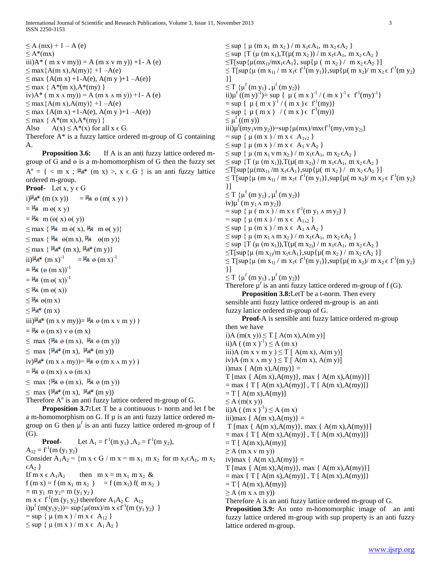International Journal of Scientific and Research Publications, Volume 3, Issue 11, November 2013 3 ISSN 2250-3153

 $\leq$  A (mx) + 1 – A (e)  $\leq$  A\*(mx) iii) $A^*$  ( m x v my)) = A (m x v m y)) +1- A (e)  $\leq$  max $\{A(m x), A(my)\}$  +1 –A(e)  $\leq$  max  $\{A(m x) +1-A(e), A(m y) +1-A(e)\}$  $\leq$  max  $\{A^*(m x), A^*(my)\}$ iv) $A^*$  ( m x  $\Lambda$  my)) = A (m x  $\Lambda$  m y)) +1- A (e)  $\leq$  max {A(m x), A(my)} +1 –A(e)  $\leq$  max {A(m x) +1-A(e), A(m y )+1 -A(e)}  $\leq$  max { A\*(m x), A\*(my) } Also  $A(x) \leq A^*(x)$  for all  $x \in G$ . Therefore A\* is a fuzzy lattice ordered m-group of G containing

A.

**Proposition 3.6:** If A is an anti fuzzy lattice ordered mgroup of G and ɵ is a m-homomorphism of G then the fuzzy set  $A^{\circ} = \{ \langle m \times ; \mu_{A^{\circ}} (m \times) \rangle, \times \in G \}$  is an anti-fuzzy lattice ordered m-group. **Proof-** Let  $x, y \in G$ i)  $\mu_{A}$ <sup>o</sup> (m (x y)) =  $\mu_{A}$   $\theta$  (m( x y))  $=$   $\frac{H_A}{H}$  m  $\theta$ (x y)  $=$   $\frac{M}{A}$  m ( $\Theta$ (x)  $\Theta$ (y))

 $\leq$  max {  $\mathsf{H}_4$  m  $\Theta$ (x),  $\mathsf{H}_4$  m  $\Theta$ (y)}  $\leq$  max {  $\mathsf{H}_{\mathsf{A}}$   $\Theta$ (m x),  $\mathsf{H}_{\mathsf{A}}$   $\Theta$ (m y)}

 $\leq$  max  $\{ \mu_{A^{\circ}} (\text{m x}), \mu_{A^{\circ}} (\text{m y}) \}$ 

ii) $\mathbf{H} \mathbf{A}^{\bullet}$  (m x)<sup>-1</sup>  $=\mathbf{H} \mathbf{A} \cdot \mathbf{\Theta} \left( \mathbf{m} \mathbf{x} \right)^{-1}$ 

 $=$  $\frac{H_A}{A}$  ( $\theta$  (m x))<sup>-1</sup>

 $=$   $\frac{\mu}{\text{A}}$  (m  $\theta$ (x))<sup>-1</sup>

 $\leq$  **H<sub>A</sub>** (m  $\Theta$ (x))

 $\leq$   $\frac{H_A}{H}$   $\Theta$ (m x)

```
\leq \mathsf{H}_{\mathbf{A}^{\bullet}} (m x)
```
iii) $\frac{\mu_A}{\mu}$  (m x v my)) =  $\frac{\mu_A}{\mu}$  e (m x v m y))

 $=$   $\frac{H_A}{H} \theta$  (m x) v  $\theta$  (m x)

 $\leq$  max { $\frac{\mu}{4}$   $\Theta$  (m x),  $\frac{\mu}{4}$   $\Theta$  (m y))

 $\leq$  max  $\{H_A^{\circ}$  (m x),  $H_A^{\circ}$  (m y))

iv)  $\mu_{A}$ <sup>o</sup> (m x  $\Lambda$  my)) =  $\mu_{A}$   $\Theta$  (m x  $\Lambda$  m y))

 $=$   $\frac{\mu}{4}$   $\theta$  (m x)  $\Delta \theta$  (m x)

 $\leq$  max  $\{ \frac{\mu_A}{\mu} \Theta$  (m x),  $\frac{\mu_A}{\mu} \Theta$  (m y))

 $\leq$  max { $\frac{\mu_{A}^{0}}{\mu_{B}^{0}}$  (m x),  $\frac{\mu_{A}^{0}}{\mu_{B}^{0}}$  (m y))

Therefore  $A^{\circ}$  is an anti fuzzy lattice ordered m-group of G.

**Proposition 3.7:** Let T be a continuous t- norm and let f be a m-homomorphism on G. If  $\mu$  is an anti-fuzzy lattice ordered mgroup on G then  $\mu^f$  is an anti fuzzy lattice ordered m-group of f (G).

**Proof-** Let  $A_1 = f^{-1}(m y_1)$ ,  $A_2 = f^{-1}(m y_2)$ ,  $A_{12} = f^{-1}(m (y_1 y_2))$ Consider  $A_1A_2$  = {m x  $\in$  G / m x = m x<sub>1</sub> m x<sub>2</sub> for m x<sub>1</sub> $\in$  A<sub>1</sub>, m x<sub>2</sub>  $\{A_2\}$ <br>If m x  $\in$  A<sub>1</sub>A<sub>2</sub> then  $m x = m x_1 m x_2 \&$  $f (m x) = f (m x_1 m x_2) = f (m x_1) f (m x_2)$  $=$  m y<sub>1</sub> m y<sub>2</sub> = m (y<sub>1</sub> y<sub>2</sub>) m  $x \in f^1(m(y_1 y_2))$  therefore  $A_1A_2C A_{12}$ i) $\mu^f$  (m(y<sub>1</sub>y<sub>2</sub>)) = sup { $\mu$ (mx)/m x  $\epsilon f^{1}$ (m (y<sub>1</sub>y<sub>2</sub>) }  $=$  sup {  $\mu$  (m x ) / m x  $\in$  A<sub>12</sub> }

 $\leq$  sup  $\{ \mu$  (m x ) / m x  $\in$  A<sub>1</sub> A<sub>2</sub>  $\}$ 

 $\leq$  sup  $\{ \mu$  (m x<sub>1</sub> m x<sub>2</sub>) / m x<sub>1</sub> $\in$  A<sub>1</sub>, m x<sub>2</sub> $\in$  A<sub>2</sub>  $\}$  $\leq$  sup {T (μ (m x<sub>1</sub>),T(μ( m x<sub>2</sub>)) / m x<sub>1</sub> ε A<sub>1</sub>, m x<sub>2</sub> ε A<sub>2</sub> }  $\leq$ T[sup{ $\mu$ (mx<sub>1</sub>)/mx<sub>1</sub>∈A<sub>1</sub>}, sup{ $\mu$  ( m x<sub>2</sub>) / m x<sub>2</sub> ∈A<sub>2</sub> }]  $\leq T[sup(\mu (m x_1) / m x_1 \epsilon f^1(m y_1)], sup{\mu(m x_2) / m x_2 \epsilon f^1(m y_2)}$ }]  $\leq T \{\mu^f(m y_1), \mu^f(m y_2)\}\$ ii) $\mu^{f}((m y)^{-1}) = \sup \{ \mu (m x)^{-1} / (m x)^{-1} \in f^{1}(my)^{-1} \}$  $=$  sup {  $\mu$  ( m x )<sup>-1</sup> / ( m x )  $\in$  f<sup>1</sup>(my)}  $\leq$  sup  $\{ \mu$  (m x ) / (m x )  $\in$  f<sup>1</sup>(my)}  $\leq \mu^{f}$  ((m y)) iii) $\mu^f (my_1vm y_2)$ =sup $\{\mu(mx)/mx\epsilon f^1(my_1vm y_2)\}$  $=$  sup { $\mu$  (m x ) / m x  $\in$  A<sub>1v2</sub> }  $\leq$  sup  $\{ \mu$  (m x ) / m x  $\in$  A<sub>1</sub> v A<sub>2</sub>  $\}$  $\leq$  sup  $\{ \mu$  (m x<sub>1</sub> v m x<sub>2</sub>) / m x<sub>1</sub> $\in$  A<sub>1</sub>, m x<sub>2</sub> $\in$  A<sub>2</sub>  $\}$  $\leq$  sup  $\{T (\mu (m x_1)), T(\mu (m x_2)) / m x_1 \in A_1, m x_2 \in A_2 \}$  $\leq$ T[sup{ $\mu$ (mx<sub>1)</sub> /m x<sub>1</sub> ∈A<sub>1</sub>},sup{ $\mu$ ( m x<sub>2</sub>) / m x<sub>2</sub> ∈A<sub>2</sub> }]  $\leq T[\sup{\{\mu (m x_1) / m x_1 \in f^1(m y_1)\}}], \sup{\{\mu (m x_2) / m x_2 \in f^1(m y_2)\}}$ }]  $\leq T \{\mu^{f}(m y_1), \mu^{f}(m y_2)\}\$ iv) $\mu^f$  (m  $y_1 \wedge m y_2$ ))  $=$  sup { $\mu$  (m x ) / m x  $\epsilon$  f<sup>-1</sup>(m y<sub>1</sub>  $\Lambda$  m y<sub>2</sub>) }  $=$  sup {  $\mu$  (m x ) / m x  $\in$  A<sub>1A2</sub> }  $\leq$  sup  $\{ \mu$  (m x ) / m x  $\in$  A<sub>1</sub>  $\land$  A<sub>2</sub>  $\}$  $\leq$  sup { $\mu$  (m x<sub>1</sub>  $\land$  m x<sub>2</sub>) / m x<sub>1</sub> $\in$ A<sub>1</sub>, m x<sub>2</sub> $\in$ A<sub>2</sub> }  $\leq$  sup  $\{T (\mu (m x_1)), T(\mu (m x_2)) / m x_1 \in A_1, m x_2 \in A_2 \}$  $\leq$ T[sup{ $\mu$  (m x<sub>1</sub>/m x<sub>1</sub> ∈A<sub>1</sub>},sup{ $\mu$ (m x<sub>2</sub>) / m x<sub>2</sub> ∈A<sub>2</sub> }]  $\leq T[sup(\mu (m x_1) / m x_1 \epsilon f^1(m y_1)], sup{\mu(m x_2) / m x_2 \epsilon f^1(m y_2)}$ }]  $\leq T \{\mu^f(m y_1), \mu^f(m y_2)\}\$ Therefore  $\mu^f$  is an anti fuzzy lattice ordered m-group of  $f(G)$ . **Proposition 3.8:** Let T be a t-norm. Then every sensible anti fuzzy lattice ordered m-group is an anti fuzzy lattice ordered m-group of G. **Proof-A** is sensible anti fuzzy lattice ordered m-group then we have i)A  $(m(x y)) \le T$  [ A $(m x)$ ,A $(m y)$ ] ii)A ( $(m x)^{-1}$ )  $\leq$  A  $(m x)$ iii)A (m x v m y )  $\leq$  T [ A(m x), A(m y)] iv)A (m x  $\land$  m y )  $\leq$  T [ A(m x), A(m y)] i)max {  $A(m x), A(my)$ } =  $T$  [max { A(m x), A(my)}, max { A(m x), A(my)}]  $=$  max { T [ A(m x), A(my)], T [ A(m x), A(my)]}  $= T \int A(m x) A(my)$  $\leq$  A (m(x y)) ii)A  $((m x)^{-1}) \le A (m x)$ iii)max {  $A(m x), A(my)$ } =  $T$  [max { A(m x), A(my)}, max { A(m x), A(my)}]  $=$  max { T [ A(m x), A(my)], T [ A(m x), A(my)]}  $= T [A(m x), A(my)]$  $\geq$  A (m x v m y)) iv)max {  $A(m x)$ ,  $A(my)$ } =  $T$  [max { A(m x), A(my)}, max { A(m x), A(my)}]  $=$  max  $\{ T [\text{A}(m x), \text{A}(m y)]$ ,  $T [\text{A}(m x), \text{A}(m y)] \}$  $= T [\text{A}(m \text{ x}), \text{A}(m \text{ y})]$  $\geq$  A (m x  $\land$  m y)) Therefore A is an anti fuzzy lattice ordered m-group of G. **Proposition 3.9:** An onto m-homomorphic image of an anti fuzzy lattice ordered m-group with sup property is an anti fuzzy

lattice ordered m-group.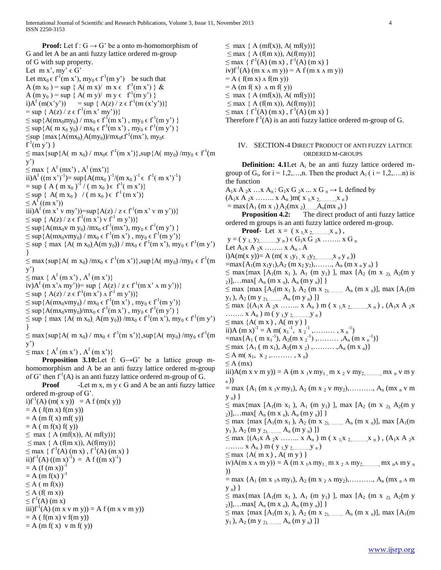**Proof:** Let  $f: G \to G'$  be a onto m-homomorphism of G and let A be an anti fuzzy lattice ordered m-group of G with sup property. Let  $m x'$ ,  $my' \in G'$ Let  $mx_0 \in f^1(m x')$ ,  $my_0 \in f^1(m y')$  be such that A (m x<sub>0</sub>) = sup { A( m x)/ m x  $\epsilon$  f<sup>1</sup>(m x') } & A (m y<sub>0</sub>) = sup { A( m y)/ m y  $\in f^{1}(m y')$ } i)A<sup>f</sup> (m(x'y')) = sup { A(z) / z  $\in$  f<sup>-1</sup>(m (x'y'))}  $=$  sup { A(z) / z  $\in$  f<sup>-1</sup>(m x' my'))}  $\leq$  sup {A(mx<sub>0</sub>my<sub>0</sub>) / mx<sub>0</sub>  $\in$  f<sup>-1</sup>(m x'), my<sub>0</sub>  $\in$  f<sup>-1</sup>(m y') }  $\leq$  sup {A( m x<sub>0</sub> y<sub>0</sub>) / mx<sub>0</sub>  $\in$  f<sup>-1</sup>(m x<sup>'</sup>), my<sub>0</sub>  $\in$  f<sup>-1</sup>(m y') }  $\leq$ sup  $\{max\{A(mx_0),A(my_0)\}/mx_0\in f^1(mx^2), my_0\in$  $f^{1}(m y')$ }  $\leq$  max {sup {A( m x<sub>0</sub>) / mx<sub>0</sub> $\in$  f<sup>-1</sup>(m x<sup>'</sup>)},sup {A( my<sub>0</sub>) /my<sub>0</sub>  $\in$  f<sup>-1</sup>(m y')  $\leq$  max { A<sup>f</sup>(mx'), A<sup>f</sup>(mx')} ii)A<sup>f</sup> ((m x')<sup>-1</sup>)= sup{A(mx<sub>0</sub>)<sup>-1</sup>/(m x<sub>0</sub>)<sup>-1</sup>  $\in$  f<sup>1</sup>( m x')<sup>-1</sup>}  $=\sup \{ A \, (\,m\,x_0\,)^{-1} \, / \, (\,m\,x_0\,)\in\, f^1(\,m\,x') \}$  $\leq$  sup { A( m x<sub>0</sub>) / ( m x<sub>0</sub>)  $\in$  f<sup>1</sup> (m x<sup>'</sup>)}  $\leq A^f((m x'))$ iii) $A^{f}$  (m x' v my'))=sup $\{A(z) / z \in f^{1}(m x' v m y')\}$  $\leq$  sup { A(z) / z  $\in f^{1}(m x')$  v  $f^{1}(m y')$ }  $\leq$  sup {A(mx<sub>0</sub>v m y<sub>0</sub>) /mx<sub>0</sub>  $\in$  f<sup>-1</sup>(mx<sup>2</sup>), my<sub>0</sub>  $\in$  f<sup>-1</sup>(m y<sup>2</sup>) }  $\leq$  sup {A(mx<sub>0</sub>vmy<sub>0</sub>) / mx<sub>0</sub>  $\in$  f<sup>-1</sup>(m x<sup>2</sup>), my<sub>0</sub>  $\in$  f<sup>-1</sup>(m y<sup>2</sup>)}  $\leq$  sup { max {A( m x<sub>0</sub>),A(m y<sub>0</sub>)) / mx<sub>0</sub> ∈ f<sup>-1</sup>(m x<sup>'</sup>), my<sub>0</sub> ∈ f<sup>-1</sup>(m y') }  $\leq$  max {sup {A( m x<sub>0</sub>) /mx<sub>0</sub>  $\in$  f<sup>-1</sup>(m x<sup>'</sup>)},sup {A( my<sub>0</sub>) /my<sub>0</sub>  $\in$  f<sup>-1</sup>(m y')  $\leq$  max { A<sup>f</sup>(m x'), A<sup>f</sup>(m x')} iv) $A^f$  (m x' $\land$  my'))= sup {  $A(z)$  / z  $\in$  f<sup>-1</sup>(m x' $\land$  m y'))}  $\leq$  sup  $\{A(z)/z \in f^{1}(m x') \land f^{1}(m y')\}$  $\leq$  sup {A(mx<sub>0</sub>vmy<sub>0</sub>) / mx<sub>0</sub>  $\in$  f<sup>-1</sup>(m x<sup>2</sup>), my<sub>0</sub>  $\in$  f<sup>-1</sup>(m y<sup>2</sup>)}  $\leq$  sup {A(mx<sub>0</sub>vmy<sub>0</sub>)/mx<sub>0</sub>  $\in$  f<sup>-1</sup>(m x'), my<sub>0</sub>  $\in$  f<sup>-1</sup>(m y') }  $\leq$  sup { max {A( m x<sub>0</sub>), A(m y<sub>0</sub>)) /mx<sub>0</sub> ∈ f<sup>-1</sup>(m x<sup>2</sup>), my<sub>0</sub> ∈ f<sup>-1</sup>(m y<sup>2</sup>) }  $\leq$  max {sup {A( m x<sub>0</sub>) / mx<sub>0</sub>  $\in$  f<sup>-1</sup>(m x')}, sup {A( my<sub>0</sub>) /my<sub>0</sub>  $\in$  f<sup>-1</sup>(m y')  $\leq$  max { A<sup>f</sup>(m x'), A<sup>f</sup>(m x')} **Proposition 3.10:**Let f: G→G' be a lattice group mhomomorphism and A be an anti fuzzy lattice ordered m-group of G' then  $f'$ <sup>1</sup>(A) is an anti fuzzy lattice ordered m-group of G. **Proof** -Let m x, m y  $\in$  G and A be an antiordered m-group of G'. i)f<sup>-1</sup>(A) (m( x y)) = A f (m(x y))  $= A(f(m x) f(m y))$  $= A$  (m f(x) mf(y))  $= A$  ( m f(x) f( y))  $\leq$  max { A (mf(x)), A( mf(y))}  $\leq$  max { A (f(m x)), A(f(my))}  $\leq$  max { f<sup>-1</sup>(A) (m x), f<sup>-1</sup>(A) (m x) } ii)f<sup>-1</sup>(A)  $((m x)^{-1}) = A f ((m x)^{-1})$  $= A (f (m x))^{-1}$  $= A$  (m f(x))<sup>-1</sup>  $\leq$  A ( m f(x))  $\leq$  A (f( m x))  $\leq f^1(A)$  (m x) iii) $f<sup>1</sup>(A)$  (m x v m y)) = A f (m x v m y))  $= A(f(m x) v f(m y))$  $= A$  (m f(x) v m f(y))

 $\leq$  max { A (mf(x)), A( mf(y))}  $\leq$  max { A (f(m x)), A(f(my))}  $\leq$  max { f<sup>1</sup>(A) (m x), f<sup>1</sup>(A) (m x) }  $iv) f<sup>1</sup>(A)$  (m x  $\wedge$  m y)) = A f (m x  $\wedge$  m y))  $= A$  ( f(m x)  $\Lambda$  f(m y))  $= A$  (m f(x)  $\Lambda$  m f(y))  $\leq$  max { A (mf(x)), A( mf(y))}  $\leq$  max { A (f(m x)), A(f(my))}  $\leq$  max { f<sup>1</sup>(A) (m x), f<sup>1</sup>(A) (m x) } Therefore  $f^1(A)$  is an anti fuzzy lattice ordered m-group of G.

## IV. SECTION-4 DIRECT PRODUCT OF ANTI FUZZY LATTICE ORDERED M-GROUPS

**Definition: 4.1** Let A<sub>i</sub> be an antigroup of  $G_i$ , for  $i = 1, 2, \ldots, n$ . Then the product  $A_i$  ( $i = 1, 2, \ldots, n$ ) is the function  $A_1x A_2x ... x A_n: G_1x G_2x ... x G_n \rightarrow L$  defined by  $(A_1x A_2x \ldots x A_n)m(x_1,x_2,\ldots,x_n)$  $=$  max{A<sub>1</sub> (m x <sub>1</sub>),A<sub>2</sub>(mx <sub>2</sub>),......A<sub>n</sub>(mx <sub>n</sub>) } **Proposition 4.2:** The direct product of antiordered m groups is an anti fuzzy lattice ordered m-group. **Proof-** Let  $x = (x_1, x_2, \dots, x_n)$ ,  $y = (y_1, y_2, \dots, y_n) \in G_1 x \ G_2 x \dots x \ G_n$ Let  $A_1x A_2x \ldots x A_{n}A$ i)A(m(x y))= A (m( x <sub>1</sub>y<sub>1</sub>, x <sub>2</sub>y<sub>2</sub>, ..., x <sub>n</sub> y <sub>n</sub>))  $=$ max{A<sub>1</sub>(m x<sub>1</sub>y<sub>1</sub>),A<sub>2</sub> (m x<sub>2</sub> y<sub>2</sub>),......, A<sub>n</sub> (m x <sub>n</sub> y <sub>n</sub>) }  $\leq$  max {max [A<sub>1</sub>(m x<sub>1</sub>), A<sub>1</sub> (m y<sub>1</sub>) ], max [A<sub>2</sub> (m x <sub>2),</sub> A<sub>2</sub>(m y  $_{2})$ ],...max[ A<sub>n</sub> (m x <sub>n</sub>), A<sub>n</sub> (m y <sub>n</sub>)] }  $\leq$  max {max [A<sub>1</sub>(m x<sub>1</sub>), A<sub>2</sub> (m x <sub>2), …</sub> A<sub>n</sub> (m x <sub>n</sub>)], max [A<sub>1</sub>(m  $y_1$  ),  $A_2$  (m y  $_{2)},$   $\dots \dots A_n$  (m y  $_n)$  ]}  $\leq$  max {(A<sub>1</sub>x A<sub>2</sub>x …….. x A<sub>n</sub>) m (x<sub>1</sub>x<sub>2</sub> x<sub>n</sub>), (A<sub>1</sub>x A<sub>2</sub>x) ………  $x A_n$ ) m (  $y_1, y_2, \dots, y_n$ )  $\leq$  max {A( m x), A( m y) } ii)A (m x)<sup>-1</sup> = A m( x<sub>1</sub><sup>-1</sup>, x<sub>2</sub><sup>-1</sup>,........, x<sub>n</sub><sup>-1</sup>)  $=\max\{A_1 \text{ (m x<sub>1</sub><sup>-1</sup>), A_2 \text{ (m x }<sub>2</sub><sup>-1</sup>), \dots, A_n \text{ (m x }<sub>n</sub><sup>-1</sup>)}\}$  $\leq$  max {A<sub>1</sub> ( m x<sub>1</sub>), A<sub>2</sub>(m x <sub>2</sub>),........., A<sub>n</sub> (m x <sub>n</sub>)}  $\leq A$  m(  $x_1, x_2, \ldots, x_n$ )  $\leq$  A (mx) iii)A(m x v m y)) = A (m x <sub>1</sub>v my<sub>1</sub>, m x <sub>2</sub> v my<sub>2</sub>, mx n v m y <sup>n</sup>))  $=$  max { $A_1$  (m x <sub>1</sub>v my<sub>1</sub>),  $A_2$  (m x <sub>2</sub> v my<sub>2</sub>),.........,  $A_n$  (mx <sub>n</sub> v m  $y_n$ ) }  $\leq$  max {max [A<sub>1</sub>(m x<sub>1</sub>), A<sub>1</sub> (m y<sub>1</sub>) ], max [A<sub>2</sub> (m x <sub>2)</sub>, A<sub>2</sub>(m y  $[2]$ ,...max $[A_n$  (m x <sub>n</sub>),  $A_n$  (m y <sub>n</sub>)] }  $\leq$  max {max [A<sub>1</sub>(m x<sub>1</sub>), A<sub>2</sub> (m x <sub>2), …</sub> A<sub>n</sub> (m x <sub>n</sub>)], max [A<sub>1</sub>(m  $y_1$ ),  $A_2$  (m y <sub>2), ........</sub>  $A_n$  (m y <sub>n</sub>) ]}  $\leq$  max {(A<sub>1</sub>x A<sub>2</sub>x … ... x A<sub>n</sub>) m (x<sub>1</sub>x <sub>2</sub> ... x<sub>n</sub>), (A<sub>1</sub>x A<sub>2</sub>x .........  $x A_n$ ) m (  $y_1, y_2, \dots, y_n$ )  $\leq$  max {A( m x), A( m y) } iv)A(m x  $\Lambda$  m y)) = A (m x  $_1\Lambda$  my<sub>1</sub>, m x  $_2\Lambda$  my<sub>2,………</sub>, mx  $_n\Lambda$  m y  $_n$ ))  $=$  max {A<sub>1</sub> (m x <sub>1</sub> $\Lambda$  my<sub>1</sub>), A<sub>2</sub> (m x <sub>2</sub>  $\Lambda$  my<sub>2</sub>),........., A<sub>n</sub> (mx <sub>n</sub>  $\Lambda$  m  $y_n)$ }  $\leq$  max {max [A<sub>1</sub>(m x<sub>1</sub>), A<sub>1</sub> (m y<sub>1</sub>) ], max [A<sub>2</sub> (m x <sub>2),</sub> A<sub>2</sub>(m y  $_{2})$ ],...max[ A<sub>n</sub> (m x <sub>n</sub>), A<sub>n</sub> (m y <sub>n</sub>)] }  $\leq$  max {max [A<sub>1</sub>(m x<sub>1</sub>), A<sub>2</sub> (m x <sub>2), …</sub> A<sub>n</sub> (m x <sub>n</sub>)], max [A<sub>1</sub>(m  $y_1$ ),  $A_2$  (m y <sub>2), …</sub>…..  $A_n$  (m y <sub>n</sub>) ]}